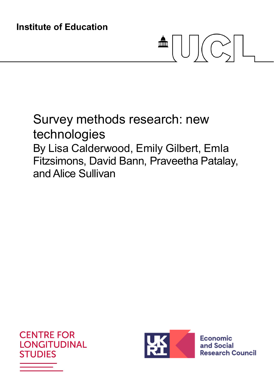# $\frac{1}{\sqrt{2\pi}}\left|\left[\begin{array}{c} 1 \\ 0 \end{array}\right]\right|\left[\begin{array}{c} 1 \\ 0 \end{array}\right].$

# Survey methods research: new technologies By Lisa Calderwood, Emily Gilbert, Emla Fitzsimons, David Bann, Praveetha Patalay, and Alice Sullivan





**Economic** and Social **Research Council**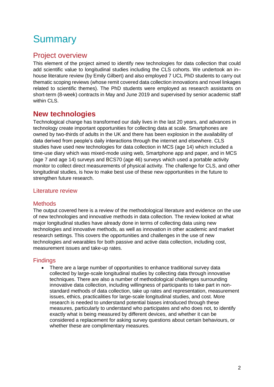# **Summary**

## Project overview

This element of the project aimed to identify new technologies for data collection that could add scientific value to longitudinal studies including the CLS cohorts. We undertook an in– house literature review (by Emily Gilbert) and also employed 7 UCL PhD students to carry out thematic scoping reviews (whose remit covered data collection innovations and novel linkages related to scientific themes). The PhD students were employed as research assistants on short-term (8-week) contracts in May and June 2019 and supervised by senior academic staff within CLS.

## **New technologies**

Technological change has transformed our daily lives in the last 20 years, and advances in technology create important opportunities for collecting data at scale. Smartphones are owned by two-thirds of adults in the UK and there has been explosion in the availability of data derived from people's daily interactions through the internet and elsewhere. CLS studies have used new technologies for data collection in MCS (age 14) which included a time-use diary which was mixed-mode using web, Smartphone app and paper, and in MCS (age 7 and age 14) surveys and BCS70 (age 46) surveys which used a portable activity monitor to collect direct measurements of physical activity. The challenge for CLS, and other longitudinal studies, is how to make best use of these new opportunities in the future to strengthen future research.

#### Literature review

#### **Methods**

The output covered here is a review of the methodological literature and evidence on the use of new technologies and innovative methods in data collection. The review looked at what major longitudinal studies have already done in terms of collecting data using new technologies and innovative methods, as well as innovation in other academic and market research settings. This covers the opportunities and challenges in the use of new technologies and wearables for both passive and active data collection, including cost, measurement issues and take-up rates.

#### **Findings**

 There are a large number of opportunities to enhance traditional survey data collected by large-scale longitudinal studies by collecting data through innovative techniques. There are also a number of methodological challenges surrounding innovative data collection, including willingness of participants to take part in nonstandard methods of data collection, take up rates and representation, measurement issues, ethics, practicalities for large-scale longitudinal studies, and cost. More research is needed to understand potential biases introduced through these measures, particularly to understand who participates and who does not, to identify exactly what is being measured by different devices, and whether it can be considered a replacement for asking survey questions about certain behaviours, or whether these are complimentary measures.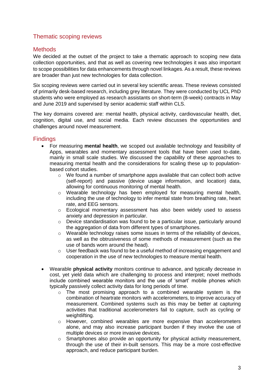#### Thematic scoping reviews

#### **Methods**

We decided at the outset of the project to take a thematic approach to scoping new data collection opportunities, and that as well as covering new technologies it was also important to scope possibilities for data enhancements through novel linkages. As a result, these reviews are broader than just new technologies for data collection.

Six scoping reviews were carried out in several key scientific areas. These reviews consisted of primarily desk-based research, including grey literature. They were conducted by UCL PhD students who were employed as research assistants on short-term (8-week) contracts in May and June 2019 and supervised by senior academic staff within CLS.

The key domains covered are: mental health, physical activity, cardiovascular health, diet, cognition, digital use, and social media. Each review discusses the opportunities and challenges around novel measurement.

#### **Findings**

- For measuring **mental health**, we scoped out available technology and feasibility of Apps, wearables and momentary assessment tools that have been used to-date, mainly in small scale studies. We discussed the capability of these approaches to measuring mental health and the considerations for scaling these up to populationbased cohort studies.
	- $\circ$  We found a number of smartphone apps available that can collect both active (self-report) and passive (device usage information, and location) data, allowing for continuous monitoring of mental health.
	- o Wearable technology has been employed for measuring mental health, including the use of technology to infer mental state from breathing rate, heart rate, and EEG sensors.
	- $\circ$  Ecological momentary assessment has also been widely used to assess anxiety and depression in particular.
	- o Device standardisation was found to be a particular issue, particularly around the aggregation of data from different types of smartphones.
	- $\circ$  Wearable technology raises some issues in terms of the reliability of devices, as well as the obtrusiveness of some methods of measurement (such as the use of bands worn around the head).
	- o User feedback was found to be a useful method of increasing engagement and cooperation in the use of new technologies to measure mental health.
- Wearable **physical activity** monitors continue to advance, and typically decrease in cost, yet yield data which are challenging to process and interpret; novel methods include combined wearable monitors and the use of 'smart' mobile phones which typically passively collect activity data for long periods of time.
	- $\circ$  The most promising approach to a combined wearable system is the combination of heartrate monitors with accelerometers, to improve accuracy of measurement. Combined systems such as this may be better at capturing activities that traditional accelerometers fail to capture, such as cycling or weightlifting.
	- $\circ$  However, combined wearables are more expensive than accelerometers alone, and may also increase participant burden if they involve the use of multiple devices or more invasive devices.
	- o Smartphones also provide an opportunity for physical activity measurement, through the use of their in-built sensors. This may be a more cost-effective approach, and reduce participant burden.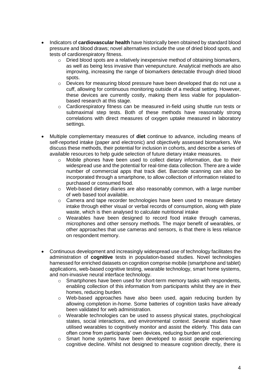- Indicators of **cardiovascular health** have historically been obtained by standard blood pressure and blood draws; novel alternatives include the use of dried blood spots, and tests of cardiorespiratory fitness.
	- $\circ$  Dried blood spots are a relatively inexpensive method of obtaining biomarkers, as well as being less invasive than venepuncture. Analytical methods are also improving, increasing the range of biomarkers detectable through dried blood spots.
	- $\circ$  Devices for measuring blood pressure have been developed that do not use a cuff, allowing for continuous monitoring outside of a medical setting. However, these devices are currently costly, making them less viable for populationbased research at this stage.
	- $\circ$  Cardiorespiratory fitness can be measured in-field using shuttle run tests or submaximal step tests. Both of these methods have reasonably strong correlations with direct measures of oxygen uptake measured in laboratory settings.
- Multiple complementary measures of **diet** continue to advance, including means of self-reported intake (paper and electronic) and objectively assessed biomarkers. We discuss these methods, their potential for inclusion in cohorts, and describe a series of available resources to help guide selection of future dietary intake measures.
	- o Mobile phones have been used to collect dietary information, due to their widespread use and the potential for real-time data collection. There are a wide number of commercial apps that track diet. Barcode scanning can also be incorporated through a smartphone, to allow collection of information related to purchased or consumed food.
	- $\circ$  Web-based dietary diaries are also reasonably common, with a large number of web based tool available.
	- $\circ$  Camera and tape recorder technologies have been used to measure dietary intake through either visual or verbal records of consumption, along with plate waste, which is then analysed to calculate nutritional intake
	- $\circ$  Wearables have been designed to record food intake through cameras, microphones and other sensory methods. The major benefit of wearables, or other approaches that use cameras and sensors, is that there is less reliance on respondent memory.
- Continuous development and increasingly widespread use of technology facilitates the administration of **cognitive** tests in population-based studies. Novel technologies harnessed for enriched datasets on cognition comprise mobile (smartphone and tablet) applications, web-based cognitive testing, wearable technology, smart home systems, and non-invasive neural interface technology.
	- $\circ$  Smartphones have been used for short-term memory tasks with respondents, enabling collection of this information from participants whilst they are in their homes, reducing burden.
	- $\circ$  Web-based approaches have also been used, again reducing burden by allowing completion in-home. Some batteries of cognition tasks have already been validated for web administration.
	- o Wearable technologies can be used to assess physical states, psychological states, social interactions, and environmental context. Several studies have utilised wearables to cognitively monitor and assist the elderly. This data can often come from participants' own devices, reducing burden and cost.
	- $\circ$  Smart home systems have been developed to assist people experiencing cognitive decline. Whilst not designed to measure cognition directly, there is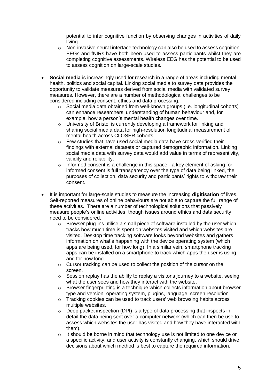potential to infer cognitive function by observing changes in activities of daily living.

- $\circ$  Non-invasive neural interface technology can also be used to assess cognition. EEGs and fNIRs have both been used to assess participants whilst they are completing cognitive assessments. Wireless EEG has the potential to be used to assess cognition on large-scale studies.
- **Social media** is increasingly used for research in a range of areas including mental health, politics and social capital. Linking social media to survey data provides the opportunity to validate measures derived from social media with validated survey measures. However, there are a number of methodological challenges to be considered including consent, ethics and data processing.
	- o Social media data obtained from well-known groups (i.e. longitudinal cohorts) can enhance researchers' understanding of human behaviour and, for example, how a person's mental health changes over time.
	- o University of Bristol is currently developing a framework for linking and sharing social media data for high-resolution longitudinal measurement of mental health across CLOSER cohorts.
	- o Few studies that have used social media data have cross-verified their findings with external datasets or captured demographic information. Linking social media data with survey data would add value in terms of representivity, validity and reliability.
	- $\circ$  Informed consent is a challenge in this space a key element of asking for informed consent is full transparency over the type of data being linked, the purposes of collection, data security and participants' rights to withdraw their consent.
- It is important for large-scale studies to measure the increasing **digitisation** of lives. Self-reported measures of online behaviours are not able to capture the full range of these activities. There are a number of technological solutions that passively measure people's online activities, though issues around ethics and data security need to be considered.
	- o Browser plug-ins utilise a small piece of software installed by the user which tracks how much time is spent on websites visited and which websites are visited. Desktop time tracking software looks beyond websites and gathers information on what's happening with the device operating system (which apps are being used, for how long). In a similar vein, smartphone tracking apps can be installed on a smartphone to track which apps the user is using and for how long.
	- o Cursor tracking can be used to collect the position of the cursor on the screen.
	- $\circ$  Session replay has the ability to replay a visitor's journey to a website, seeing what the user sees and how they interact with the website.
	- $\circ$  Browser fingerprinting is a technique which collects information about browser type and version, operating system, plugins, language, screen resolution
	- o Tracking cookies can be used to track users' web browsing habits across multiple websites.
	- $\circ$  Deep packet inspection (DPI) is a type of data processing that inspects in detail the data being sent over a computer network (which can then be use to assess which websites the user has visited and how they have interacted with them).
	- o It should be borne in mind that technology use is not limited to one device or a specific activity, and user activity is constantly changing, which should drive decisions about which method is best to capture the required information.